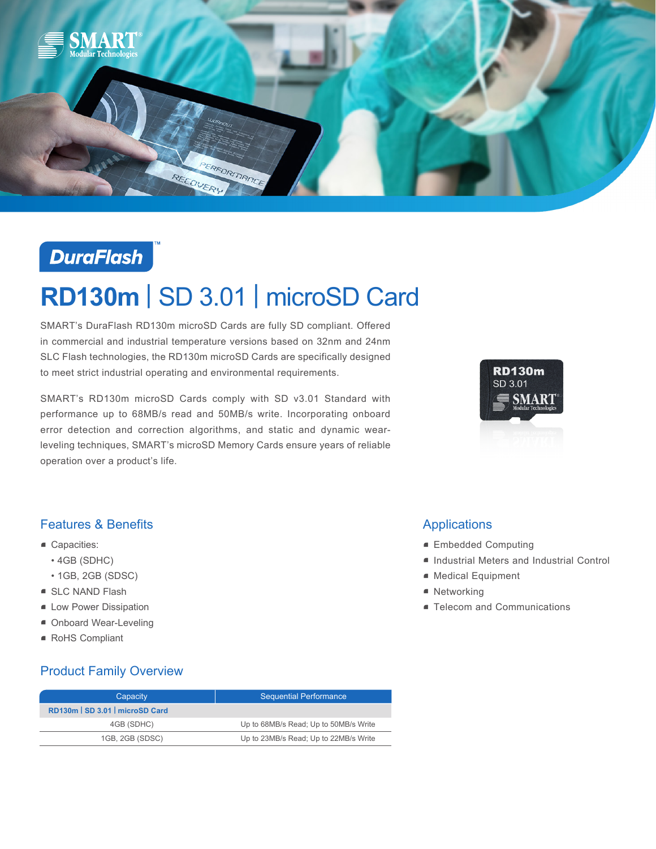

## **DuraFlash**

# **RD130m** | SD 3.01 | microSD Card

SMART's DuraFlash RD130m microSD Cards are fully SD compliant. Offered in commercial and industrial temperature versions based on 32nm and 24nm SLC Flash technologies, the RD130m microSD Cards are specifically designed to meet strict industrial operating and environmental requirements.

SMART's RD130m microSD Cards comply with SD v3.01 Standard with performance up to 68MB/s read and 50MB/s write. Incorporating onboard error detection and correction algorithms, and static and dynamic wearleveling techniques, SMART's microSD Memory Cards ensure years of reliable operation over a product's life.



#### Features & Benefits

- Capacities:
	- 4GB (SDHC)
	- 1GB, 2GB (SDSC)
- SLC NAND Flash
- **E** Low Power Dissipation
- Onboard Wear-Leveling
- RoHS Compliant

## Product Family Overview

| Capacity                      | <b>Sequential Performance</b>         |
|-------------------------------|---------------------------------------|
| RD130m SD 3.01   microSD Card |                                       |
| 4GB (SDHC)                    | Up to 68MB/s Read; Up to 50MB/s Write |
| 1GB, 2GB (SDSC)               | Up to 23MB/s Read; Up to 22MB/s Write |

### Applications

- Embedded Computing
- Industrial Meters and Industrial Control
- Medical Equipment
- Networking
- **Telecom and Communications**